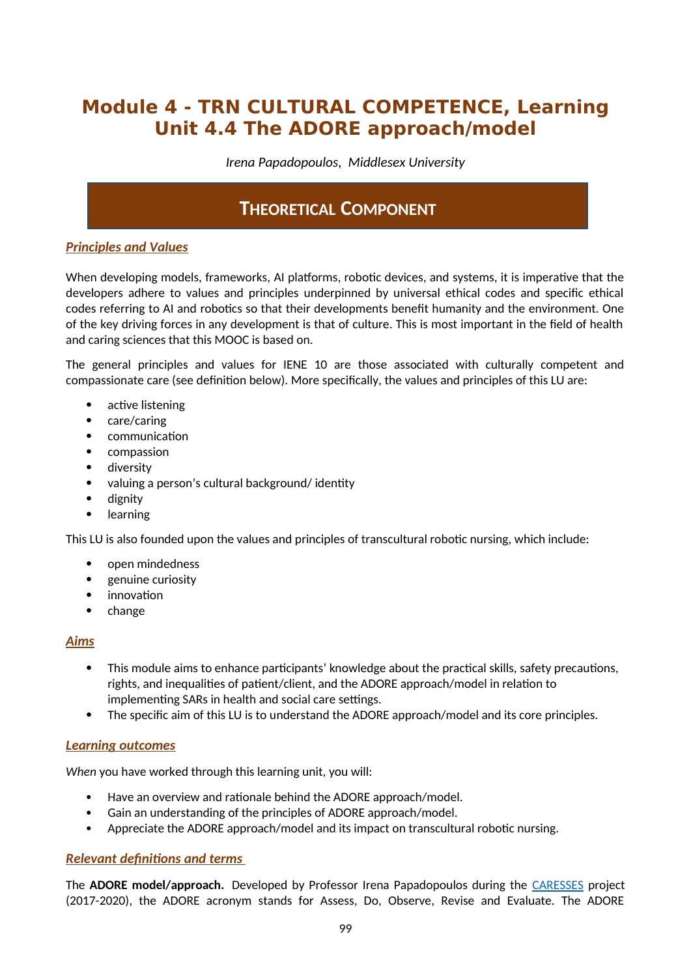# **Module 4 - TRN CULTURAL COMPETENCE, Learning Unit 4.4 The ADORE approach/model**

*Irena Papadopoulos, Middlesex University*

## **THEORETICAL COMPONENT**

## *Principles and Values*

When developing models, frameworks, AI platforms, robotic devices, and systems, it is imperative that the developers adhere to values and principles underpinned by universal ethical codes and specific ethical codes referring to AI and robotics so that their developments benefit humanity and the environment. One of the key driving forces in any development is that of culture. This is most important in the field of health and caring sciences that this MOOC is based on.

The general principles and values for IENE 10 are those associated with culturally competent and compassionate care (see definition below). More specifically, the values and principles of this LU are:

- active listening
- care/caring
- communication
- compassion
- **•** diversity
- valuing a person's cultural background/ identity
- dignity
- learning

This LU is also founded upon the values and principles of transcultural robotic nursing, which include:

- open mindedness
- genuine curiosity
- innovation
- $\bullet$  change

### *Aims*

- This module aims to enhance participants' knowledge about the practical skills, safety precautions, rights, and inequalities of patient/client, and the ADORE approach/model in relation to implementing SARs in health and social care settings.
- The specific aim of this LU is to understand the ADORE approach/model and its core principles.

## *Learning outcomes*

*When* you have worked through this learning unit, you will:

- Have an overview and rationale behind the ADORE approach/model.
- Gain an understanding of the principles of ADORE approach/model.
- Appreciate the ADORE approach/model and its impact on transcultural robotic nursing.

## *Relevant definitions and terms*

The **ADORE model/approach.** Developed by Professor Irena Papadopoulos during the [CARESSES](http://www.caressesrobot.org/) project (2017-2020), the ADORE acronym stands for Assess, Do, Observe, Revise and Evaluate. The ADORE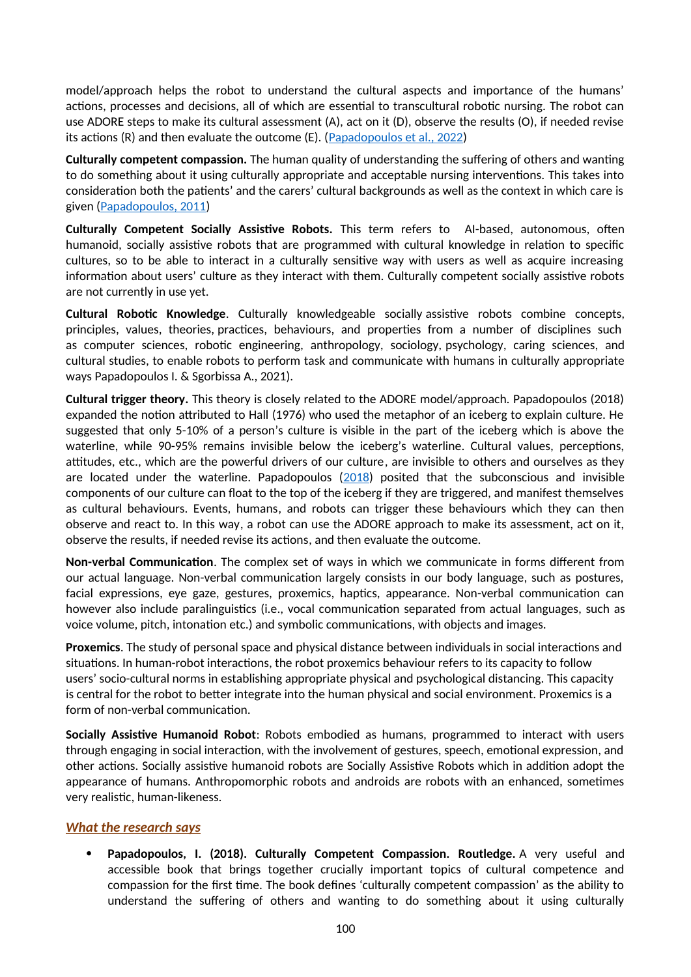model/approach helps the robot to understand the cultural aspects and importance of the humans' actions, processes and decisions, all of which are essential to transcultural robotic nursing. The robot can use ADORE steps to make its cultural assessment (A), act on it (D), observe the results (O), if needed revise its actions (R) and then evaluate the outcome (E). ( $Papadopoulos et al., 2022$ )

**Culturally competent compassion.** The human quality of understanding the suffering of others and wanting to do something about it using culturally appropriate and acceptable nursing interventions. This takes into consideration both the patients' and the carers' cultural backgrounds as well as the context in which care is given [\(Papadopoulos, 2011\)](https://www.researchgate.net/publication/303885059_Courage_Compassion_and_Cultural_Competence_The_Anna_Reynvaan_Lecture_2011?_iepl%5BgeneralViewId%5D=yhV21bGZnkjrK3PdAUFayhWJxbdyCA5u151W&_iepl%5Bcontexts%5D%5B0%5D=searchReact&_iepl%5BviewId%5D=w1qPR81SRTbBSJYMoXa3g4iPMlqOXLBJCVWj&_iepl%5BsearchType%5D=publication&_iepl%5Bdata%5D%5BcountLessEqual20%5D=1&_iepl%5Bdata%5D%5BinteractedWithPosition1%5D=1&_iepl%5Bdata%5D%5BwithoutEnrichment%5D=1&_iepl%5Bposition%5D=1&_iepl%5BrgKey%5D=PB%3A303885059&_iepl%5BtargetEntityId%5D=PB%3A303885059&_iepl%5BinteractionType%5D=publicationTitle)

**Culturally Competent Socially Assistive Robots.** This term refers to AI-based, autonomous, often humanoid, socially assistive robots that are programmed with cultural knowledge in relation to specific cultures, so to be able to interact in a culturally sensitive way with users as well as acquire increasing information about users' culture as they interact with them. Culturally competent socially assistive robots are not currently in use yet.

**Cultural Robotic Knowledge**. Culturally knowledgeable socially assistive robots combine concepts, principles, values, theories, practices, behaviours, and properties from a number of disciplines such as computer sciences, robotic engineering, anthropology, sociology, psychology, caring sciences, and cultural studies, to enable robots to perform task and communicate with humans in culturally appropriate ways Papadopoulos I. & Sgorbissa A., 2021).

**Cultural trigger theory.** This theory is closely related to the ADORE model/approach. Papadopoulos (2018) expanded the notion attributed to Hall (1976) who used the metaphor of an iceberg to explain culture. He suggested that only 5-10% of a person's culture is visible in the part of the iceberg which is above the waterline, while 90-95% remains invisible below the iceberg's waterline. Cultural values, perceptions, attitudes, etc., which are the powerful drivers of our culture, are invisible to others and ourselves as they are located under the waterline. Papadopoulos  $(2018)$  $(2018)$  $(2018)$  posited that the subconscious and invisible components of our culture can float to the top of the iceberg if they are triggered, and manifest themselves as cultural behaviours. Events, humans, and robots can trigger these behaviours which they can then observe and react to. In this way, a robot can use the ADORE approach to make its assessment, act on it, observe the results, if needed revise its actions, and then evaluate the outcome.

**Non-verbal Communication**. The complex set of ways in which we communicate in forms different from our actual language. Non-verbal communication largely consists in our body language, such as postures, facial expressions, eye gaze, gestures, proxemics, haptics, appearance. Non-verbal communication can however also include paralinguistics (i.e., vocal communication separated from actual languages, such as voice volume, pitch, intonation etc.) and symbolic communications, with objects and images.

**Proxemics**. The study of personal space and physical distance between individuals in social interactions and situations. In human-robot interactions, the robot proxemics behaviour refers to its capacity to follow users' socio-cultural norms in establishing appropriate physical and psychological distancing. This capacity is central for the robot to better integrate into the human physical and social environment. Proxemics is a form of non-verbal communication.

**Socially Assistive Humanoid Robot**: Robots embodied as humans, programmed to interact with users through engaging in social interaction, with the involvement of gestures, speech, emotional expression, and other actions. Socially assistive humanoid robots are Socially Assistive Robots which in addition adopt the appearance of humans. Anthropomorphic robots and androids are robots with an enhanced, sometimes very realistic, human-likeness.

## *What the research says*

 **Papadopoulos, I. (2018). Culturally Competent Compassion. Routledge.** A very useful and accessible book that brings together crucially important topics of cultural competence and compassion for the first time. The book defines 'culturally competent compassion' as the ability to understand the suffering of others and wanting to do something about it using culturally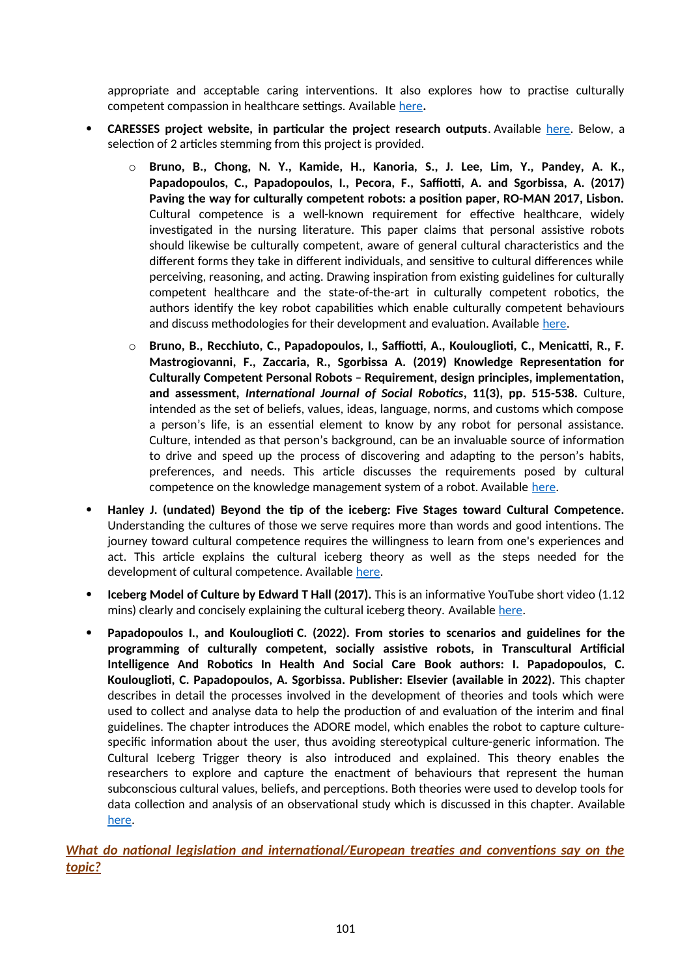appropriate and acceptable caring interventions. It also explores how to practise culturally competent compassion in healthcare settings. Available [here](https://www.routledge.com/Culturally-Competent-Compassion-A-Guide-for-Healthcare-Students-and-Practitioners/Papadopoulos/p/book/9781138674905)**.** 

- **CARESSES project website, in particular the project research outputs**. Available [here](http://caressesrobot.org/en/category/research/). Below, a selection of 2 articles stemming from this project is provided.
	- o **Bruno, B., Chong, N. Y., Kamide, H., Kanoria, S., J. Lee, Lim, Y., Pandey, A. K., Papadopoulos, C., Papadopoulos, I., Pecora, F., Saffiotti, A. and Sgorbissa, A. (2017) Paving the way for culturally competent robots: a position paper, RO-MAN 2017, Lisbon.** Cultural competence is a well-known requirement for effective healthcare, widely investigated in the nursing literature. This paper claims that personal assistive robots should likewise be culturally competent, aware of general cultural characteristics and the different forms they take in different individuals, and sensitive to cultural differences while perceiving, reasoning, and acting. Drawing inspiration from existing guidelines for culturally competent healthcare and the state-of-the-art in culturally competent robotics, the authors identify the key robot capabilities which enable culturally competent behaviours and discuss methodologies for their development and evaluation. Available [here](https://www.researchgate.net/publication/319904421_Paving_the_Way_for_Culturally_Competent_Robots_a_Position_Paper).
	- o **Bruno, B., Recchiuto, C., Papadopoulos, I., Saffiotti, A., Koulouglioti, C., Menicatti, R., F. Mastrogiovanni, F., Zaccaria, R., Sgorbissa A. (2019) Knowledge Representation for Culturally Competent Personal Robots – Requirement, design principles, implementation, and assessment,** *International Journal of Social Robotics***, 11(3), pp. 515-538.** Culture, intended as the set of beliefs, values, ideas, language, norms, and customs which compose a person's life, is an essential element to know by any robot for personal assistance. Culture, intended as that person's background, can be an invaluable source of information to drive and speed up the process of discovering and adapting to the person's habits, preferences, and needs. This article discusses the requirements posed by cultural competence on the knowledge management system of a robot. Available [here](https://www.researchgate.net/publication/330691365_Knowledge_Representation_for_Culturally_Competent_Personal_Robots_Requirements_Design_Principles_Implementation_and_Assessment).
- **Hanley J. (undated) Beyond the tip of the iceberg: Five Stages toward Cultural Competence.** Understanding the cultures of those we serve requires more than words and good intentions. The journey toward cultural competence requires the willingness to learn from one's experiences and act. This article explains the cultural iceberg theory as well as the steps needed for the development of cultural competence. Available [here.](https://www.aacu.org/sites/default/files/files/hips/Beyondthetipoftheiceberg.pdf)
- **Iceberg Model of Culture by Edward T Hall (2017).** This is an informative YouTube short video (1.12 mins) clearly and concisely explaining the cultural iceberg theory. Available [here](https://www.youtube.com/watch?v=u37t0u-4BTI).
- **Papadopoulos I., and Koulouglioti C. (2022). From stories to scenarios and guidelines for the programming of culturally competent, socially assistive robots, in Transcultural Artificial Intelligence And Robotics In Health And Social Care Book authors: I. Papadopoulos, C. Koulouglioti, C. Papadopoulos, A. Sgorbissa. Publisher: Elsevier (available in 2022).** This chapter describes in detail the processes involved in the development of theories and tools which were used to collect and analyse data to help the production of and evaluation of the interim and final guidelines. The chapter introduces the ADORE model, which enables the robot to capture culturespecific information about the user, thus avoiding stereotypical culture-generic information. The Cultural Iceberg Trigger theory is also introduced and explained. This theory enables the researchers to explore and capture the enactment of behaviours that represent the human subconscious cultural values, beliefs, and perceptions. Both theories were used to develop tools for data collection and analysis of an observational study which is discussed in this chapter. Available [here](https://www.elsevier.com/books/transcultural-artificial-intelligence-and-robotics-in-health-and-social-care/papadopoulos/978-0-323-90407-0?fbclid=IwAR3ai75DDVBMmmc6-3FD4EYzVHAo7NgzlG47vEObrWzrs2pAU_8mHoRqdew).

*What do national legislation and international/European treaties and conventions say on the topic?*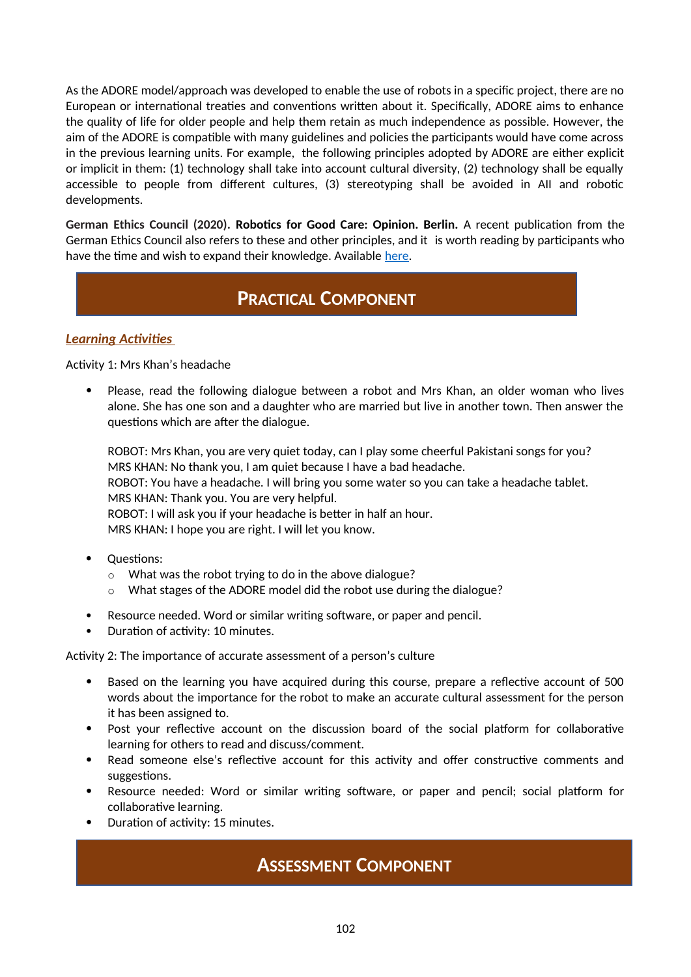As the ADORE model/approach was developed to enable the use of robots in a specific project, there are no European or international treaties and conventions written about it. Specifically, ADORE aims to enhance the quality of life for older people and help them retain as much independence as possible. However, the aim of the ADORE is compatible with many guidelines and policies the participants would have come across in the previous learning units. For example, the following principles adopted by ADORE are either explicit or implicit in them: (1) technology shall take into account cultural diversity, (2) technology shall be equally accessible to people from different cultures, (3) stereotyping shall be avoided in AII and robotic developments.

**German Ethics Council (2020). Robotics for Good Care: Opinion. Berlin.** A recent publication from the German Ethics Council also refers to these and other principles, and it is worth reading by participants who have the time and wish to expand their knowledge. Available [here](https://www.ethikrat.org/fileadmin/Publikationen/Stellungnahmen/englisch/opinion-robotics-for-good-care.pdf).

## **PRACTICAL COMPONENT**

## *Learning Activities*

Activity 1: Mrs Khan's headache

 Please, read the following dialogue between a robot and Mrs Khan, an older woman who lives alone. She has one son and a daughter who are married but live in another town. Then answer the questions which are after the dialogue.

ROBOT: Mrs Khan, you are very quiet today, can I play some cheerful Pakistani songs for you? MRS KHAN: No thank you, I am quiet because I have a bad headache. ROBOT: You have a headache. I will bring you some water so you can take a headache tablet. MRS KHAN: Thank you. You are very helpful. ROBOT: I will ask you if your headache is better in half an hour. MRS KHAN: I hope you are right. I will let you know.

- Questions:
	- o What was the robot trying to do in the above dialogue?
	- o What stages of the ADORE model did the robot use during the dialogue?
- Resource needed. Word or similar writing software, or paper and pencil.
- Duration of activity: 10 minutes.

Activity 2: The importance of accurate assessment of a person's culture

- Based on the learning you have acquired during this course, prepare a reflective account of 500 words about the importance for the robot to make an accurate cultural assessment for the person it has been assigned to.
- Post your reflective account on the discussion board of the social platform for collaborative learning for others to read and discuss/comment.
- Read someone else's reflective account for this activity and offer constructive comments and suggestions.
- Resource needed: Word or similar writing software, or paper and pencil; social platform for collaborative learning.
- Duration of activity: 15 minutes.

## **ASSESSMENT COMPONENT**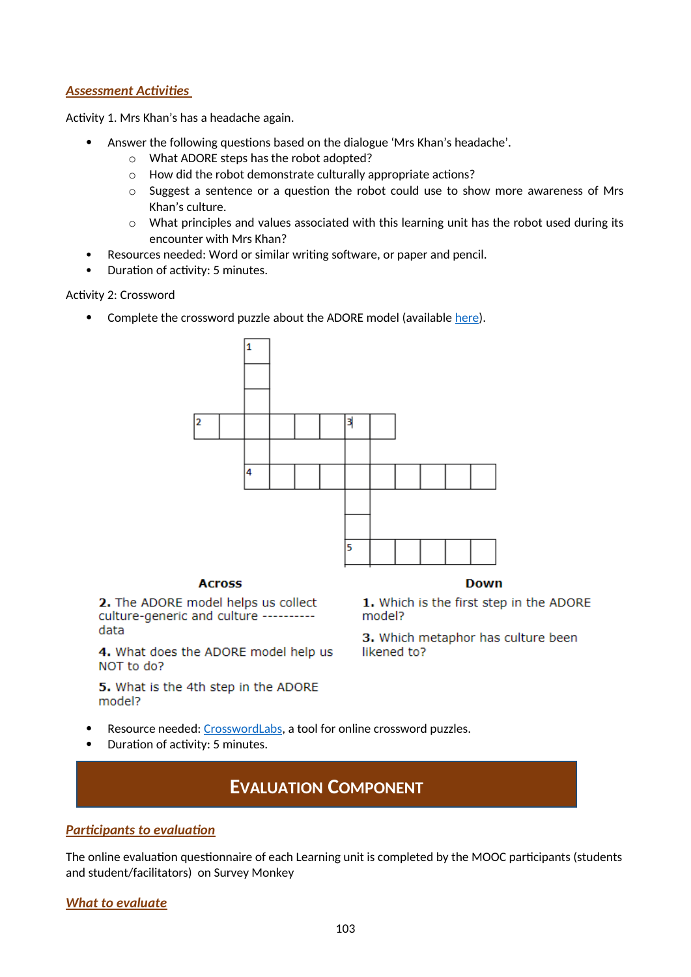### *Assessment Activities*

Activity 1. Mrs Khan's has a headache again.

- Answer the following questions based on the dialogue 'Mrs Khan's headache'.
	- o What ADORE steps has the robot adopted?
	- o How did the robot demonstrate culturally appropriate actions?
	- $\circ$  Suggest a sentence or a question the robot could use to show more awareness of Mrs Khan's culture.
	- o What principles and values associated with this learning unit has the robot used during its encounter with Mrs Khan?
- Resources needed: Word or similar writing software, or paper and pencil.
- Duration of activity: 5 minutes.

Activity 2: Crossword

• Complete the crossword puzzle about the ADORE model (available [here\)](https://crosswordlabs.com/view/the-adore-model).



#### **Across**

2. The ADORE model helps us collect culture-generic and culture ---------data

4. What does the ADORE model help us NOT to do?

5. What is the 4th step in the ADORE model?

**Down** 

1. Which is the first step in the ADORE model?

3. Which metaphor has culture been likened to?

- Resource needed: [CrosswordLabs](https://crosswordlabs.com/), a tool for online crossword puzzles.
- Duration of activity: 5 minutes.

## **EVALUATION COMPONENT**

### *Participants to evaluation*

The online evaluation questionnaire of each Learning unit is completed by the MOOC participants (students and student/facilitators) on Survey Monkey

### *What to evaluate*